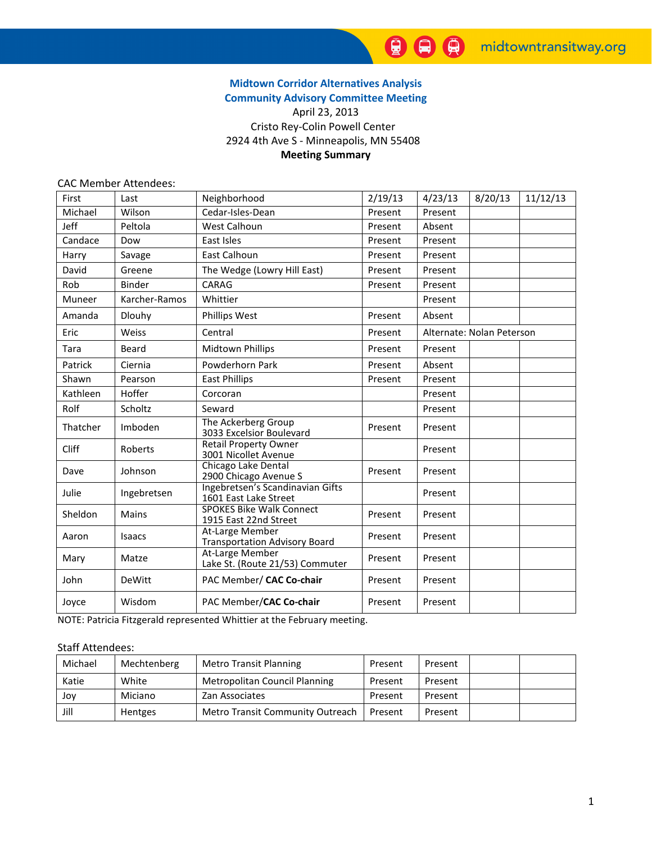# Midtown Corridor Alternatives Analysis Community Advisory Committee Meeting

# April 23, 2013 Cristo Rey-Colin Powell Center 2924 4th Ave S - Minneapolis, MN 55408 Meeting Summary

#### CAC Member Attendees:

| First        | Last          | Neighborhood                                              | 2/19/13 | 4/23/13                   | 8/20/13 | 11/12/13 |
|--------------|---------------|-----------------------------------------------------------|---------|---------------------------|---------|----------|
| Michael      | Wilson        | Cedar-Isles-Dean                                          | Present | Present                   |         |          |
| Jeff         | Peltola       | West Calhoun                                              | Present | Absent                    |         |          |
| Candace      | Dow           | East Isles                                                | Present | Present                   |         |          |
| Harry        | Savage        | East Calhoun                                              | Present | Present                   |         |          |
| David        | Greene        | The Wedge (Lowry Hill East)                               | Present | Present                   |         |          |
| Rob          | <b>Binder</b> | CARAG                                                     | Present | Present                   |         |          |
| Muneer       | Karcher-Ramos | Whittier                                                  |         | Present                   |         |          |
| Amanda       | <b>Dlouhy</b> | <b>Phillips West</b>                                      | Present | Absent                    |         |          |
| Eric         | Weiss         | Central                                                   | Present | Alternate: Nolan Peterson |         |          |
| Tara         | Beard         | <b>Midtown Phillips</b>                                   | Present | Present                   |         |          |
| Patrick      | Ciernia       | Powderhorn Park                                           | Present | Absent                    |         |          |
| Shawn        | Pearson       | <b>East Phillips</b>                                      | Present | Present                   |         |          |
| Kathleen     | Hoffer        | Corcoran                                                  |         | Present                   |         |          |
| Rolf         | Scholtz       | Seward                                                    |         | Present                   |         |          |
| Thatcher     | Imboden       | The Ackerberg Group<br>3033 Excelsior Boulevard           | Present | Present                   |         |          |
| <b>Cliff</b> | Roberts       | <b>Retail Property Owner</b><br>3001 Nicollet Avenue      |         | Present                   |         |          |
| Dave         | Johnson       | Chicago Lake Dental<br>2900 Chicago Avenue S              | Present | Present                   |         |          |
| Julie        | Ingebretsen   | Ingebretsen's Scandinavian Gifts<br>1601 East Lake Street |         | Present                   |         |          |
| Sheldon      | <b>Mains</b>  | <b>SPOKES Bike Walk Connect</b><br>1915 East 22nd Street  | Present | Present                   |         |          |
| Aaron        | Isaacs        | At-Large Member<br><b>Transportation Advisory Board</b>   | Present | Present                   |         |          |
| Mary         | Matze         | At-Large Member<br>Lake St. (Route 21/53) Commuter        | Present | Present                   |         |          |
| John         | DeWitt        | PAC Member/ CAC Co-chair                                  | Present | Present                   |         |          |
| Joyce        | Wisdom        | PAC Member/CAC Co-chair                                   | Present | Present                   |         |          |

NOTE: Patricia Fitzgerald represented Whittier at the February meeting.

#### Staff Attendees:

| Michael | Mechtenberg | <b>Metro Transit Planning</b>    | Present | Present |  |
|---------|-------------|----------------------------------|---------|---------|--|
| Katie   | White       | Metropolitan Council Planning    | Present | Present |  |
| Jov     | Miciano     | Zan Associates                   | Present | Present |  |
| Jill    | Hentges     | Metro Transit Community Outreach | Present | Present |  |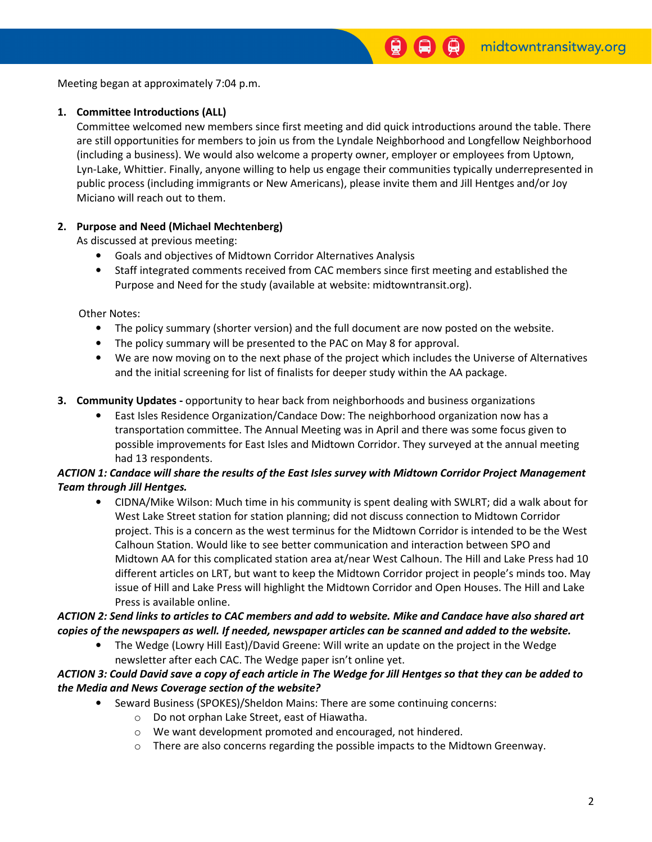Meeting began at approximately 7:04 p.m.

### 1. Committee Introductions (ALL)

Committee welcomed new members since first meeting and did quick introductions around the table. There are still opportunities for members to join us from the Lyndale Neighborhood and Longfellow Neighborhood (including a business). We would also welcome a property owner, employer or employees from Uptown, Lyn-Lake, Whittier. Finally, anyone willing to help us engage their communities typically underrepresented in public process (including immigrants or New Americans), please invite them and Jill Hentges and/or Joy Miciano will reach out to them.

### 2. Purpose and Need (Michael Mechtenberg)

As discussed at previous meeting:

- Goals and objectives of Midtown Corridor Alternatives Analysis
- Staff integrated comments received from CAC members since first meeting and established the Purpose and Need for the study (available at website: midtowntransit.org).

Other Notes:

- The policy summary (shorter version) and the full document are now posted on the website.
- The policy summary will be presented to the PAC on May 8 for approval.
- We are now moving on to the next phase of the project which includes the Universe of Alternatives and the initial screening for list of finalists for deeper study within the AA package.
- **3. Community Updates -** opportunity to hear back from neighborhoods and business organizations
	- East Isles Residence Organization/Candace Dow: The neighborhood organization now has a transportation committee. The Annual Meeting was in April and there was some focus given to possible improvements for East Isles and Midtown Corridor. They surveyed at the annual meeting had 13 respondents.

## ACTION 1: Candace will share the results of the East Isles survey with Midtown Corridor Project Management Team through Jill Hentges.

• CIDNA/Mike Wilson: Much time in his community is spent dealing with SWLRT; did a walk about for West Lake Street station for station planning; did not discuss connection to Midtown Corridor project. This is a concern as the west terminus for the Midtown Corridor is intended to be the West Calhoun Station. Would like to see better communication and interaction between SPO and Midtown AA for this complicated station area at/near West Calhoun. The Hill and Lake Press had 10 different articles on LRT, but want to keep the Midtown Corridor project in people's minds too. May issue of Hill and Lake Press will highlight the Midtown Corridor and Open Houses. The Hill and Lake Press is available online.

## ACTION 2: Send links to articles to CAC members and add to website. Mike and Candace have also shared art copies of the newspapers as well. If needed, newspaper articles can be scanned and added to the website.

• The Wedge (Lowry Hill East)/David Greene: Will write an update on the project in the Wedge newsletter after each CAC. The Wedge paper isn't online yet.

### ACTION 3: Could David save a copy of each article in The Wedge for Jill Hentges so that they can be added to the Media and News Coverage section of the website?

- Seward Business (SPOKES)/Sheldon Mains: There are some continuing concerns:
	- o Do not orphan Lake Street, east of Hiawatha.
	- o We want development promoted and encouraged, not hindered.
	- $\circ$  There are also concerns regarding the possible impacts to the Midtown Greenway.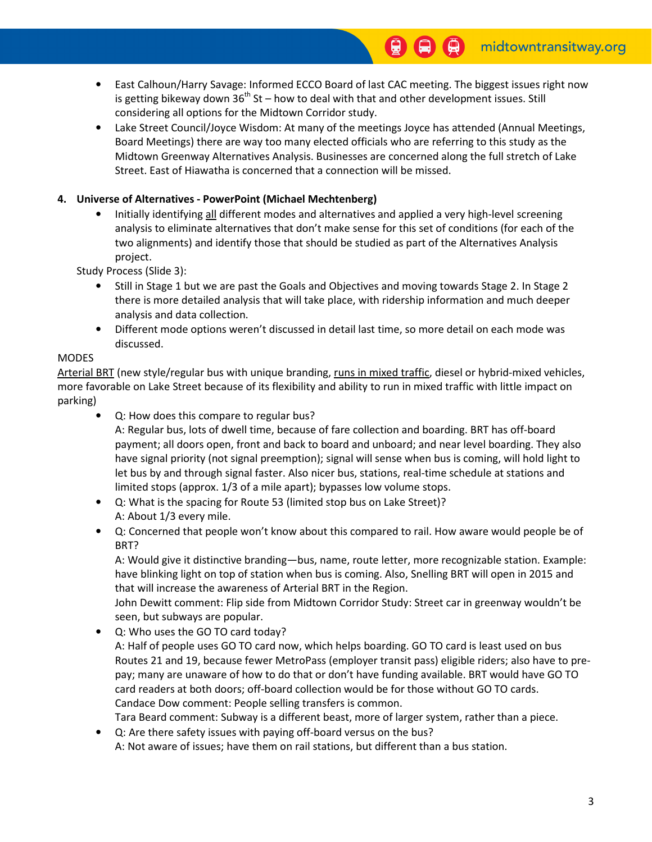- East Calhoun/Harry Savage: Informed ECCO Board of last CAC meeting. The biggest issues right now is getting bikeway down  $36<sup>th</sup>$  St – how to deal with that and other development issues. Still considering all options for the Midtown Corridor study.
- Lake Street Council/Joyce Wisdom: At many of the meetings Joyce has attended (Annual Meetings, Board Meetings) there are way too many elected officials who are referring to this study as the Midtown Greenway Alternatives Analysis. Businesses are concerned along the full stretch of Lake Street. East of Hiawatha is concerned that a connection will be missed.

## 4. Universe of Alternatives - PowerPoint (Michael Mechtenberg)

• Initially identifying all different modes and alternatives and applied a very high-level screening analysis to eliminate alternatives that don't make sense for this set of conditions (for each of the two alignments) and identify those that should be studied as part of the Alternatives Analysis project.

Study Process (Slide 3):

- Still in Stage 1 but we are past the Goals and Objectives and moving towards Stage 2. In Stage 2 there is more detailed analysis that will take place, with ridership information and much deeper analysis and data collection.
- Different mode options weren't discussed in detail last time, so more detail on each mode was discussed.

### MODES

Arterial BRT (new style/regular bus with unique branding, runs in mixed traffic, diesel or hybrid-mixed vehicles, more favorable on Lake Street because of its flexibility and ability to run in mixed traffic with little impact on parking)

• Q: How does this compare to regular bus?

A: Regular bus, lots of dwell time, because of fare collection and boarding. BRT has off-board payment; all doors open, front and back to board and unboard; and near level boarding. They also have signal priority (not signal preemption); signal will sense when bus is coming, will hold light to let bus by and through signal faster. Also nicer bus, stations, real-time schedule at stations and limited stops (approx. 1/3 of a mile apart); bypasses low volume stops.

- Q: What is the spacing for Route 53 (limited stop bus on Lake Street)? A: About 1/3 every mile.
- Q: Concerned that people won't know about this compared to rail. How aware would people be of BRT?

A: Would give it distinctive branding—bus, name, route letter, more recognizable station. Example: have blinking light on top of station when bus is coming. Also, Snelling BRT will open in 2015 and that will increase the awareness of Arterial BRT in the Region.

John Dewitt comment: Flip side from Midtown Corridor Study: Street car in greenway wouldn't be seen, but subways are popular.

• Q: Who uses the GO TO card today?

A: Half of people uses GO TO card now, which helps boarding. GO TO card is least used on bus Routes 21 and 19, because fewer MetroPass (employer transit pass) eligible riders; also have to prepay; many are unaware of how to do that or don't have funding available. BRT would have GO TO card readers at both doors; off-board collection would be for those without GO TO cards. Candace Dow comment: People selling transfers is common.

Tara Beard comment: Subway is a different beast, more of larger system, rather than a piece.

• Q: Are there safety issues with paying off-board versus on the bus?

A: Not aware of issues; have them on rail stations, but different than a bus station.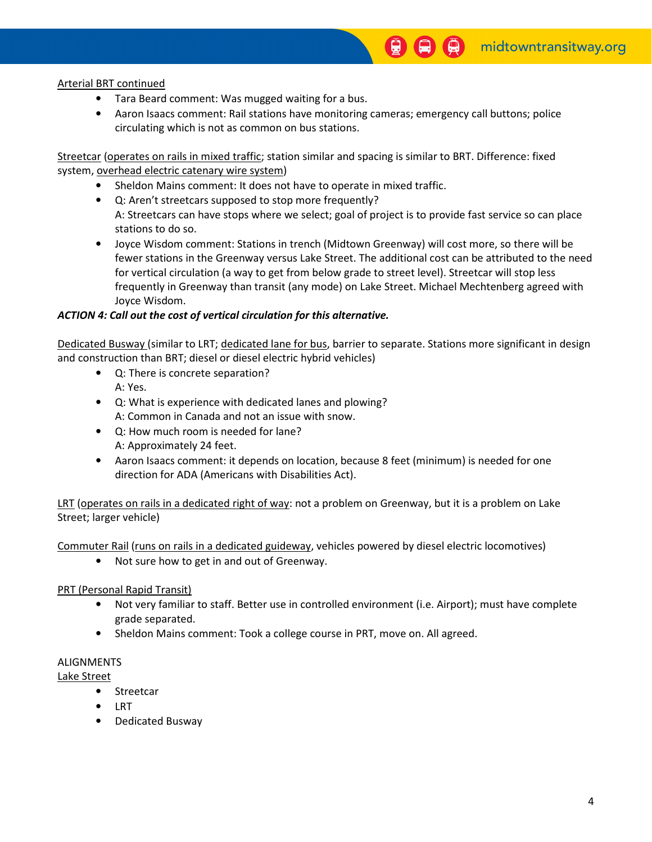Arterial BRT continued

- Tara Beard comment: Was mugged waiting for a bus.
- Aaron Isaacs comment: Rail stations have monitoring cameras; emergency call buttons; police circulating which is not as common on bus stations.

9

Streetcar (operates on rails in mixed traffic; station similar and spacing is similar to BRT. Difference: fixed system, overhead electric catenary wire system)

- Sheldon Mains comment: It does not have to operate in mixed traffic.
- Q: Aren't streetcars supposed to stop more frequently?
- A: Streetcars can have stops where we select; goal of project is to provide fast service so can place stations to do so.
- Joyce Wisdom comment: Stations in trench (Midtown Greenway) will cost more, so there will be fewer stations in the Greenway versus Lake Street. The additional cost can be attributed to the need for vertical circulation (a way to get from below grade to street level). Streetcar will stop less frequently in Greenway than transit (any mode) on Lake Street. Michael Mechtenberg agreed with Joyce Wisdom.

### ACTION 4: Call out the cost of vertical circulation for this alternative.

Dedicated Busway (similar to LRT; dedicated lane for bus, barrier to separate. Stations more significant in design and construction than BRT; diesel or diesel electric hybrid vehicles)

- Q: There is concrete separation? A: Yes.
- Q: What is experience with dedicated lanes and plowing? A: Common in Canada and not an issue with snow.
- Q: How much room is needed for lane? A: Approximately 24 feet.
- Aaron Isaacs comment: it depends on location, because 8 feet (minimum) is needed for one direction for ADA (Americans with Disabilities Act).

LRT (operates on rails in a dedicated right of way: not a problem on Greenway, but it is a problem on Lake Street; larger vehicle)

Commuter Rail (runs on rails in a dedicated guideway, vehicles powered by diesel electric locomotives)

• Not sure how to get in and out of Greenway.

#### PRT (Personal Rapid Transit)

- Not very familiar to staff. Better use in controlled environment (i.e. Airport); must have complete grade separated.
- Sheldon Mains comment: Took a college course in PRT, move on. All agreed.

#### ALIGNMENTS

Lake Street

- Streetcar
- LRT
- Dedicated Busway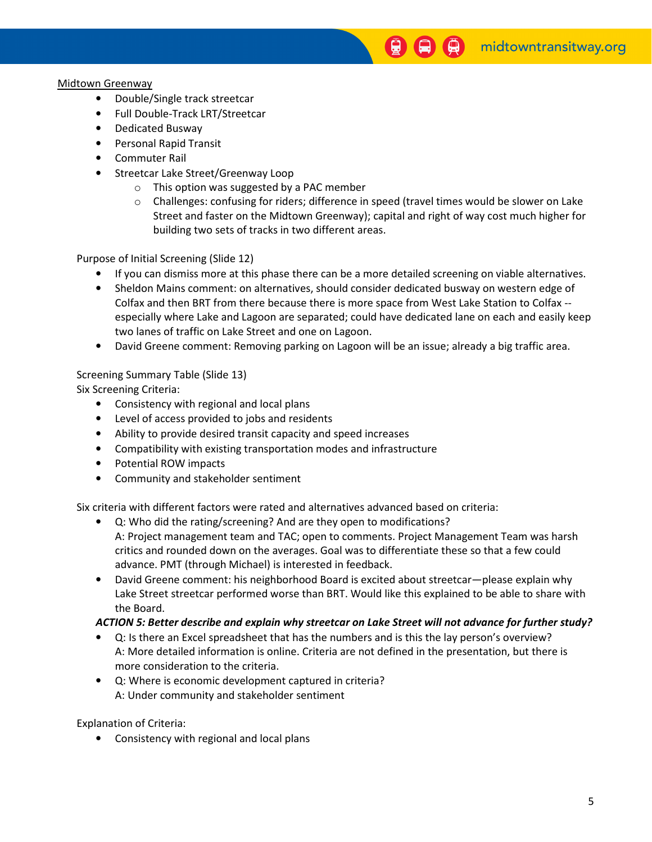#### Midtown Greenway

- Double/Single track streetcar
- Full Double-Track LRT/Streetcar
- Dedicated Busway
- Personal Rapid Transit
- Commuter Rail
- Streetcar Lake Street/Greenway Loop
	- o This option was suggested by a PAC member
	- $\circ$  Challenges: confusing for riders; difference in speed (travel times would be slower on Lake Street and faster on the Midtown Greenway); capital and right of way cost much higher for building two sets of tracks in two different areas.

Purpose of Initial Screening (Slide 12)

- If you can dismiss more at this phase there can be a more detailed screening on viable alternatives.
- Sheldon Mains comment: on alternatives, should consider dedicated busway on western edge of Colfax and then BRT from there because there is more space from West Lake Station to Colfax - especially where Lake and Lagoon are separated; could have dedicated lane on each and easily keep two lanes of traffic on Lake Street and one on Lagoon.
- David Greene comment: Removing parking on Lagoon will be an issue; already a big traffic area.

### Screening Summary Table (Slide 13)

Six Screening Criteria:

- Consistency with regional and local plans
- Level of access provided to jobs and residents
- Ability to provide desired transit capacity and speed increases
- Compatibility with existing transportation modes and infrastructure
- Potential ROW impacts
- Community and stakeholder sentiment

Six criteria with different factors were rated and alternatives advanced based on criteria:

- Q: Who did the rating/screening? And are they open to modifications? A: Project management team and TAC; open to comments. Project Management Team was harsh critics and rounded down on the averages. Goal was to differentiate these so that a few could advance. PMT (through Michael) is interested in feedback.
- David Greene comment: his neighborhood Board is excited about streetcar—please explain why Lake Street streetcar performed worse than BRT. Would like this explained to be able to share with the Board.

### ACTION 5: Better describe and explain why streetcar on Lake Street will not advance for further study?

- Q: Is there an Excel spreadsheet that has the numbers and is this the lay person's overview? A: More detailed information is online. Criteria are not defined in the presentation, but there is more consideration to the criteria.
- Q: Where is economic development captured in criteria? A: Under community and stakeholder sentiment

Explanation of Criteria:

• Consistency with regional and local plans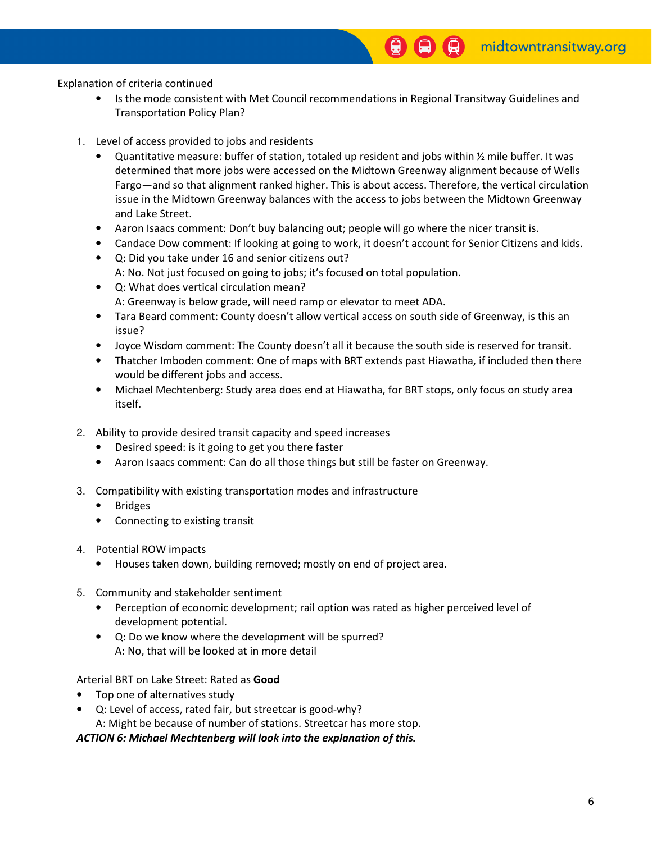Explanation of criteria continued

• Is the mode consistent with Met Council recommendations in Regional Transitway Guidelines and Transportation Policy Plan?

 $\mathbf{G}$ 

- 1. Level of access provided to jobs and residents
	- Quantitative measure: buffer of station, totaled up resident and jobs within ½ mile buffer. It was determined that more jobs were accessed on the Midtown Greenway alignment because of Wells Fargo—and so that alignment ranked higher. This is about access. Therefore, the vertical circulation issue in the Midtown Greenway balances with the access to jobs between the Midtown Greenway and Lake Street.
	- Aaron Isaacs comment: Don't buy balancing out; people will go where the nicer transit is.
	- Candace Dow comment: If looking at going to work, it doesn't account for Senior Citizens and kids.
	- Q: Did you take under 16 and senior citizens out? A: No. Not just focused on going to jobs; it's focused on total population.
	- Q: What does vertical circulation mean? A: Greenway is below grade, will need ramp or elevator to meet ADA.
	- Tara Beard comment: County doesn't allow vertical access on south side of Greenway, is this an issue?
	- Joyce Wisdom comment: The County doesn't all it because the south side is reserved for transit.
	- Thatcher Imboden comment: One of maps with BRT extends past Hiawatha, if included then there would be different jobs and access.
	- Michael Mechtenberg: Study area does end at Hiawatha, for BRT stops, only focus on study area itself.
- 2. Ability to provide desired transit capacity and speed increases
	- Desired speed: is it going to get you there faster
	- Aaron Isaacs comment: Can do all those things but still be faster on Greenway.
- 3. Compatibility with existing transportation modes and infrastructure
	- **Bridges**
	- Connecting to existing transit
- 4. Potential ROW impacts
	- Houses taken down, building removed; mostly on end of project area.
- 5. Community and stakeholder sentiment
	- Perception of economic development; rail option was rated as higher perceived level of development potential.
	- Q: Do we know where the development will be spurred? A: No, that will be looked at in more detail

#### Arterial BRT on Lake Street: Rated as Good

- Top one of alternatives study
- Q: Level of access, rated fair, but streetcar is good-why? A: Might be because of number of stations. Streetcar has more stop.

#### ACTION 6: Michael Mechtenberg will look into the explanation of this.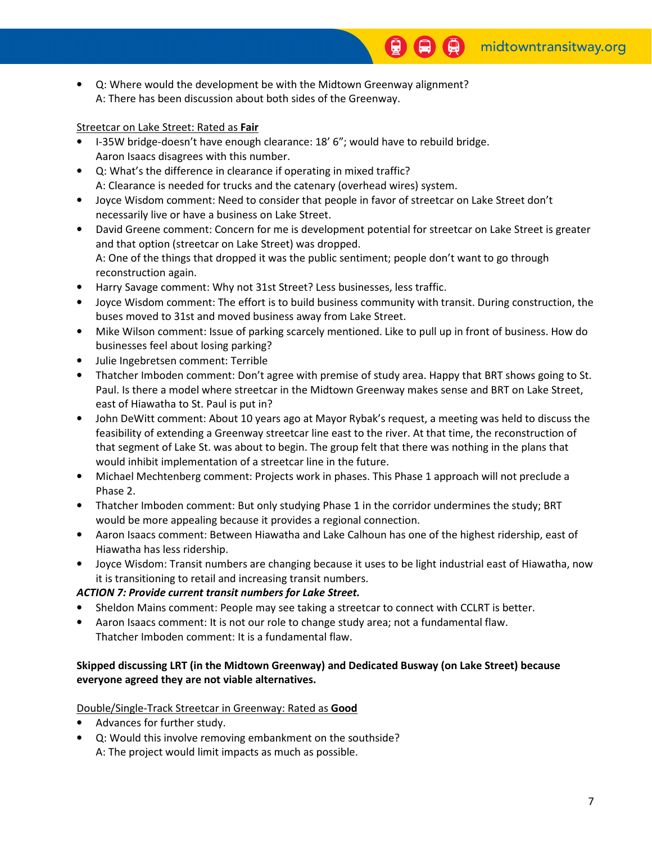• Q: Where would the development be with the Midtown Greenway alignment? A: There has been discussion about both sides of the Greenway.

### Streetcar on Lake Street: Rated as Fair

- I-35W bridge-doesn't have enough clearance: 18' 6"; would have to rebuild bridge. Aaron Isaacs disagrees with this number.
- Q: What's the difference in clearance if operating in mixed traffic? A: Clearance is needed for trucks and the catenary (overhead wires) system.
- Joyce Wisdom comment: Need to consider that people in favor of streetcar on Lake Street don't necessarily live or have a business on Lake Street.
- David Greene comment: Concern for me is development potential for streetcar on Lake Street is greater and that option (streetcar on Lake Street) was dropped. A: One of the things that dropped it was the public sentiment; people don't want to go through reconstruction again.
- Harry Savage comment: Why not 31st Street? Less businesses, less traffic.
- Joyce Wisdom comment: The effort is to build business community with transit. During construction, the buses moved to 31st and moved business away from Lake Street.
- Mike Wilson comment: Issue of parking scarcely mentioned. Like to pull up in front of business. How do businesses feel about losing parking?
- Julie Ingebretsen comment: Terrible
- Thatcher Imboden comment: Don't agree with premise of study area. Happy that BRT shows going to St. Paul. Is there a model where streetcar in the Midtown Greenway makes sense and BRT on Lake Street, east of Hiawatha to St. Paul is put in?
- John DeWitt comment: About 10 years ago at Mayor Rybak's request, a meeting was held to discuss the feasibility of extending a Greenway streetcar line east to the river. At that time, the reconstruction of that segment of Lake St. was about to begin. The group felt that there was nothing in the plans that would inhibit implementation of a streetcar line in the future.
- Michael Mechtenberg comment: Projects work in phases. This Phase 1 approach will not preclude a Phase 2.
- Thatcher Imboden comment: But only studying Phase 1 in the corridor undermines the study; BRT would be more appealing because it provides a regional connection.
- Aaron Isaacs comment: Between Hiawatha and Lake Calhoun has one of the highest ridership, east of Hiawatha has less ridership.
- Joyce Wisdom: Transit numbers are changing because it uses to be light industrial east of Hiawatha, now it is transitioning to retail and increasing transit numbers.

## ACTION 7: Provide current transit numbers for Lake Street.

- Sheldon Mains comment: People may see taking a streetcar to connect with CCLRT is better.
- Aaron Isaacs comment: It is not our role to change study area; not a fundamental flaw.
- Thatcher Imboden comment: It is a fundamental flaw.

## Skipped discussing LRT (in the Midtown Greenway) and Dedicated Busway (on Lake Street) because everyone agreed they are not viable alternatives.

### Double/Single-Track Streetcar in Greenway: Rated as Good

- Advances for further study.
- Q: Would this involve removing embankment on the southside? A: The project would limit impacts as much as possible.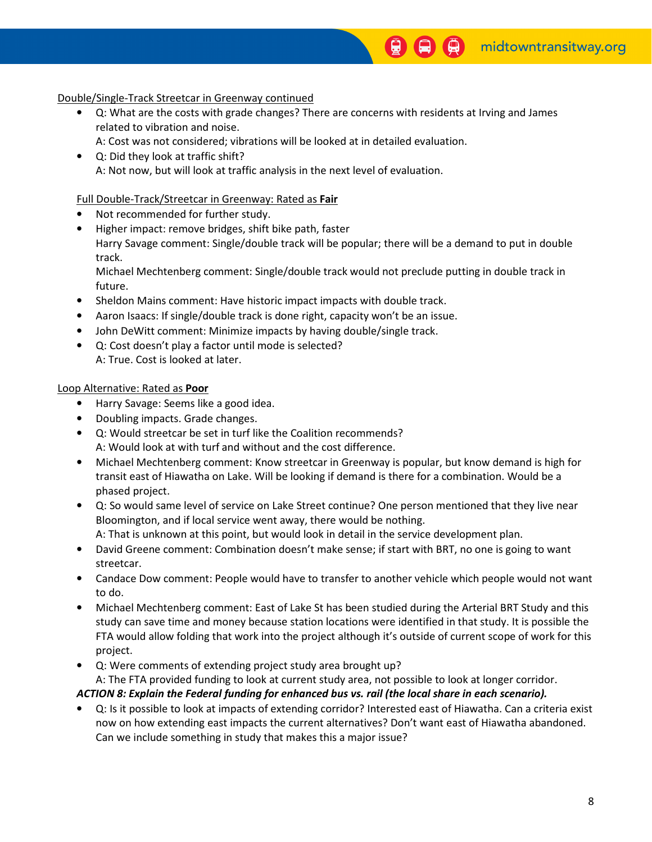### Double/Single-Track Streetcar in Greenway continued

• Q: What are the costs with grade changes? There are concerns with residents at Irving and James related to vibration and noise.

0

- A: Cost was not considered; vibrations will be looked at in detailed evaluation.
- Q: Did they look at traffic shift? A: Not now, but will look at traffic analysis in the next level of evaluation.

#### Full Double-Track/Streetcar in Greenway: Rated as Fair

- Not recommended for further study.
- Higher impact: remove bridges, shift bike path, faster Harry Savage comment: Single/double track will be popular; there will be a demand to put in double track.

Michael Mechtenberg comment: Single/double track would not preclude putting in double track in future.

- Sheldon Mains comment: Have historic impact impacts with double track.
- Aaron Isaacs: If single/double track is done right, capacity won't be an issue.
- John DeWitt comment: Minimize impacts by having double/single track.
- Q: Cost doesn't play a factor until mode is selected?
	- A: True. Cost is looked at later.

#### Loop Alternative: Rated as Poor

- Harry Savage: Seems like a good idea.
- Doubling impacts. Grade changes.
- Q: Would streetcar be set in turf like the Coalition recommends? A: Would look at with turf and without and the cost difference.
- Michael Mechtenberg comment: Know streetcar in Greenway is popular, but know demand is high for transit east of Hiawatha on Lake. Will be looking if demand is there for a combination. Would be a phased project.
- Q: So would same level of service on Lake Street continue? One person mentioned that they live near Bloomington, and if local service went away, there would be nothing. A: That is unknown at this point, but would look in detail in the service development plan.
- David Greene comment: Combination doesn't make sense; if start with BRT, no one is going to want streetcar.
- Candace Dow comment: People would have to transfer to another vehicle which people would not want to do.
- Michael Mechtenberg comment: East of Lake St has been studied during the Arterial BRT Study and this study can save time and money because station locations were identified in that study. It is possible the FTA would allow folding that work into the project although it's outside of current scope of work for this project.
- Q: Were comments of extending project study area brought up?

A: The FTA provided funding to look at current study area, not possible to look at longer corridor.

### ACTION 8: Explain the Federal funding for enhanced bus vs. rail (the local share in each scenario).

• Q: Is it possible to look at impacts of extending corridor? Interested east of Hiawatha. Can a criteria exist now on how extending east impacts the current alternatives? Don't want east of Hiawatha abandoned. Can we include something in study that makes this a major issue?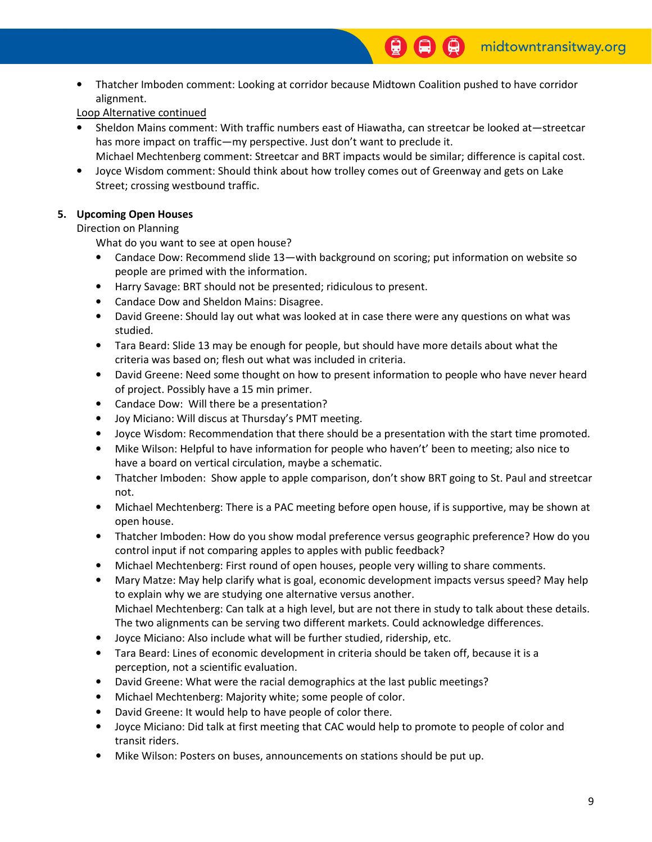• Thatcher Imboden comment: Looking at corridor because Midtown Coalition pushed to have corridor alignment.

## Loop Alternative continued

- Sheldon Mains comment: With traffic numbers east of Hiawatha, can streetcar be looked at—streetcar has more impact on traffic—my perspective. Just don't want to preclude it. Michael Mechtenberg comment: Streetcar and BRT impacts would be similar; difference is capital cost.
- Joyce Wisdom comment: Should think about how trolley comes out of Greenway and gets on Lake Street; crossing westbound traffic.

## 5. Upcoming Open Houses

### Direction on Planning

What do you want to see at open house?

- Candace Dow: Recommend slide 13—with background on scoring; put information on website so people are primed with the information.
- Harry Savage: BRT should not be presented; ridiculous to present.
- Candace Dow and Sheldon Mains: Disagree.
- David Greene: Should lay out what was looked at in case there were any questions on what was studied.
- Tara Beard: Slide 13 may be enough for people, but should have more details about what the criteria was based on; flesh out what was included in criteria.
- David Greene: Need some thought on how to present information to people who have never heard of project. Possibly have a 15 min primer.
- Candace Dow: Will there be a presentation?
- Joy Miciano: Will discus at Thursday's PMT meeting.
- Joyce Wisdom: Recommendation that there should be a presentation with the start time promoted.
- Mike Wilson: Helpful to have information for people who haven't' been to meeting; also nice to have a board on vertical circulation, maybe a schematic.
- Thatcher Imboden: Show apple to apple comparison, don't show BRT going to St. Paul and streetcar not.
- Michael Mechtenberg: There is a PAC meeting before open house, if is supportive, may be shown at open house.
- Thatcher Imboden: How do you show modal preference versus geographic preference? How do you control input if not comparing apples to apples with public feedback?
- Michael Mechtenberg: First round of open houses, people very willing to share comments.
- Mary Matze: May help clarify what is goal, economic development impacts versus speed? May help to explain why we are studying one alternative versus another. Michael Mechtenberg: Can talk at a high level, but are not there in study to talk about these details. The two alignments can be serving two different markets. Could acknowledge differences.
- Joyce Miciano: Also include what will be further studied, ridership, etc.
- Tara Beard: Lines of economic development in criteria should be taken off, because it is a perception, not a scientific evaluation.
- David Greene: What were the racial demographics at the last public meetings?
- Michael Mechtenberg: Majority white; some people of color.
- David Greene: It would help to have people of color there.
- Joyce Miciano: Did talk at first meeting that CAC would help to promote to people of color and transit riders.
- Mike Wilson: Posters on buses, announcements on stations should be put up.